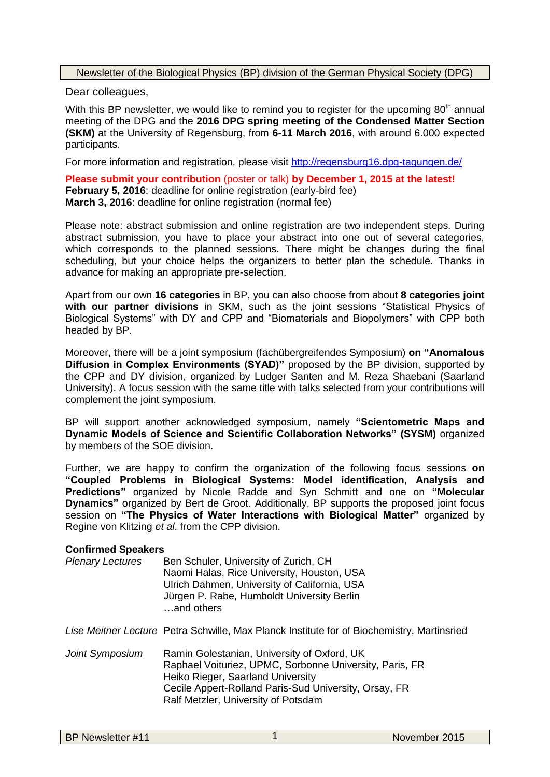Newsletter of the Biological Physics (BP) division of the German Physical Society (DPG)

Dear colleagues,

With this BP newsletter, we would like to remind you to register for the upcoming  $80<sup>th</sup>$  annual meeting of the DPG and the **2016 DPG spring meeting of the Condensed Matter Section (SKM)** at the University of Regensburg, from **6-11 March 2016**, with around 6.000 expected participants.

For more information and registration, please visit <http://regensburg16.dpg-tagungen.de/>

**Please submit your contribution** (poster or talk) **by December 1, 2015 at the latest! February 5, 2016**: deadline for online registration (early-bird fee) **March 3, 2016**: deadline for online registration (normal fee)

Please note: abstract submission and online registration are two independent steps. During abstract submission, you have to place your abstract into one out of several categories, which corresponds to the planned sessions. There might be changes during the final scheduling, but your choice helps the organizers to better plan the schedule. Thanks in advance for making an appropriate pre-selection.

Apart from our own **16 categories** in BP, you can also choose from about **8 categories joint with our partner divisions** in SKM, such as the joint sessions "Statistical Physics of Biological Systems" with DY and CPP and "Biomaterials and Biopolymers" with CPP both headed by BP.

Moreover, there will be a joint symposium (fachübergreifendes Symposium) **on "Anomalous Diffusion in Complex Environments (SYAD)"** proposed by the BP division, supported by the CPP and DY division, organized by Ludger Santen and M. Reza Shaebani (Saarland University). A focus session with the same title with talks selected from your contributions will complement the joint symposium.

BP will support another acknowledged symposium, namely **"Scientometric Maps and Dynamic Models of Science and Scientific Collaboration Networks" (SYSM)** organized by members of the SOE division.

Further, we are happy to confirm the organization of the following focus sessions **on "Coupled Problems in Biological Systems: Model identification, Analysis and Predictions"** organized by Nicole Radde and Syn Schmitt and one on **"Molecular Dynamics"** organized by Bert de Groot. Additionally, BP supports the proposed joint focus session on **"The Physics of Water Interactions with Biological Matter"** organized by Regine von Klitzing *et al*. from the CPP division.

## **Confirmed Speakers**

| <b>Plenary Lectures</b> | Ben Schuler, University of Zurich, CH        |
|-------------------------|----------------------------------------------|
|                         | Naomi Halas, Rice University, Houston, USA   |
|                         | Ulrich Dahmen, University of California, USA |
|                         | Jürgen P. Rabe, Humboldt University Berlin   |
|                         | and others                                   |

*Lise Meitner Lecture* Petra Schwille, Max Planck Institute for of Biochemistry, Martinsried

*Joint Symposium* Ramin Golestanian, University of Oxford, UK Raphael Voituriez, UPMC, Sorbonne University, Paris, FR Heiko Rieger, Saarland University Cecile Appert-Rolland Paris-Sud University, Orsay, FR Ralf Metzler, University of Potsdam

| <b>BP Newsletter #11</b> |  |
|--------------------------|--|
|--------------------------|--|